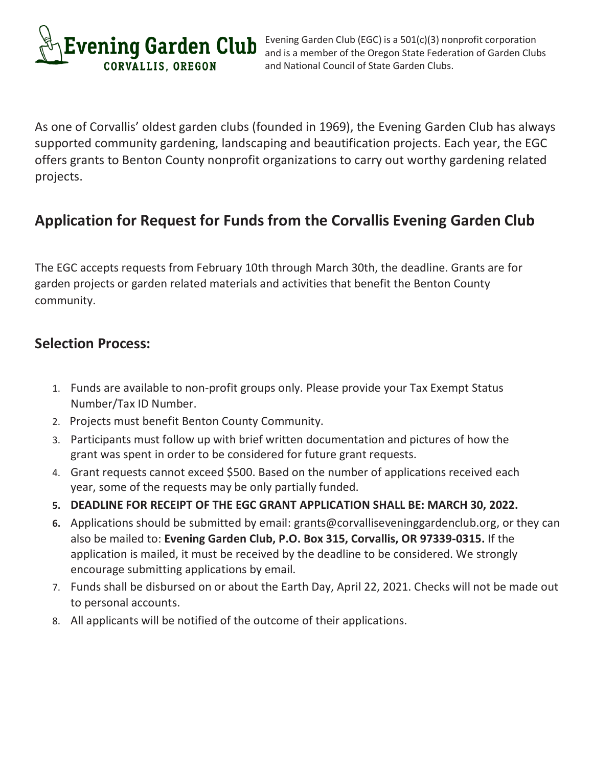

Evening Garden Club (EGC) is a 501(c)(3) nonprofit corporation and is a member of the Oregon State Federation of Garden Clubs and National Council of State Garden Clubs.

As one of Corvallis' oldest garden clubs (founded in 1969), the Evening Garden Club has always supported community gardening, landscaping and beautification projects. Each year, the EGC offers grants to Benton County nonprofit organizations to carry out worthy gardening related projects.

# **Application for Request for Funds from the Corvallis Evening Garden Club**

The EGC accepts requests from February 10th through March 30th, the deadline. Grants are for garden projects or garden related materials and activities that benefit the Benton County community.

# **Selection Process:**

- 1. Funds are available to non-profit groups only. Please provide your Tax Exempt Status Number/Tax ID Number.
- 2. Projects must benefit Benton County Community.
- 3. Participants must follow up with brief written documentation and pictures of how the grant was spent in order to be considered for future grant requests.
- 4. Grant requests cannot exceed \$500. Based on the number of applications received each year, some of the requests may be only partially funded.
- **5. DEADLINE FOR RECEIPT OF THE EGC GRANT APPLICATION SHALL BE: MARCH 30, 2022.**
- **6.** Applications should be submitted by email: [grants@corvalliseveninggardenclub.org,](mailto:grants@corvalliseveninggardenclub.org) or they can also be mailed to: **Evening Garden Club, P.O. Box 315, Corvallis, OR 97339-0315.** If the application is mailed, it must be received by the deadline to be considered. We strongly encourage submitting applications by email.
- 7. Funds shall be disbursed on or about the Earth Day, April 22, 2021. Checks will not be made out to personal accounts.
- 8. All applicants will be notified of the outcome of their applications.